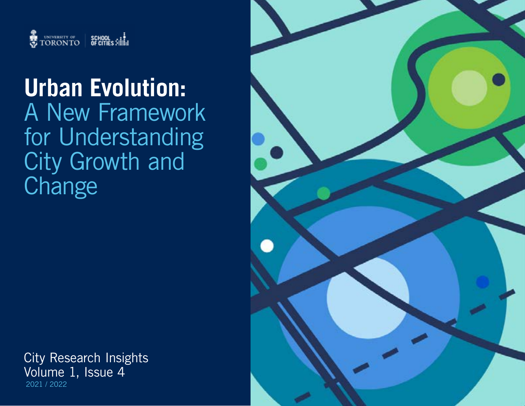

# **Urban Evolution:** A New Framework for Understanding City Growth and **Change**

City Research Insights Volume 1, Issue 4 2021 / 2022

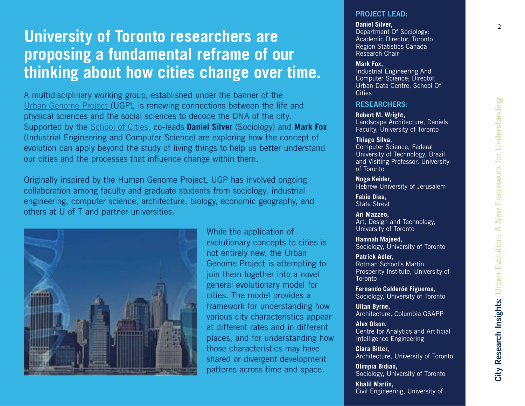# **University of Toronto researchers are proposing a fundamental reframe of our thinking about how cities change over time.**

A multidisciplinary working group, established under the banner of the [Urban Genome Project \(](https://www.schoolofcities.utoronto.ca/science-cities/urban-genome-project)UGP), is renewing connections between the life and physical sciences and the social sciences to decode the DNA of the city. Supported by the [School of Cities,](https://www.schoolofcities.utoronto.ca/) co-leads **Daniel Silver** (Sociology) and **Mark Fox**  (Industrial Engineering and Computer Science) are exploring how the concept of evolution can apply beyond the study of living things to help us better understand our cities and the processes that influence change within them.

Originally inspired by the Human Genome Project, UGP has involved ongoing collaboration among faculty and graduate students from sociology, industrial engineering, computer science, architecture, biology, economic geography, and others at U of T and partner universities.



While the application of evolutionary concepts to cities is not entirely new, the Urban Genome Project is attempting to join them together into a novel general evolutionary model for cities. The model provides a framework for understanding how various city characteristics appear at different rates and in different places, and for understanding how those characteristics may have shared or divergent development patterns across time and space.

#### **PROJECT LEAD:**

#### **Daniel Silver,**

Department Of Sociology; Academic Director, Toronto Region Statistics Canada Research Chair

#### **Mark Fox,**

Industrial Engineering And Computer Science; Director, Urban Data Centre, School Of **Cities** 

#### **RESEARCHERS:**

**Robert M. Wright,**  Landscape Architecture, Daniels Faculty, University of Toronto

#### **Thiago Silva,**  Computer Science, Federal University of Technology, Brazil and Visiting Professor, University of Toronto

**Noga Keider,**  Hebrew University of Jerusalem

**Fabio Dias,**  State Street

**Ari Mazzeo,**  Art, Design and Technology, University of Toronto

**Hamnah Majeed,**  Sociology, University of Toronto

**Patrick Adler,**  Rotman School's Martin Prosperity Institute, University of **Toronto** 

**Fernando Calderón Figueroa,**  Sociology, University of Toronto

**Ultan Byrne,**  Architecture, Columbia GSAPP

**Alex Olson,**  Centre for Analytics and Artificial Intelligence Engineering

**Clara Bitter,**  Architecture, University of Toronto

**Olimpia Bidian,**  Sociology, University of Toronto

**Khalil Martin,**  Civil Engineering, University of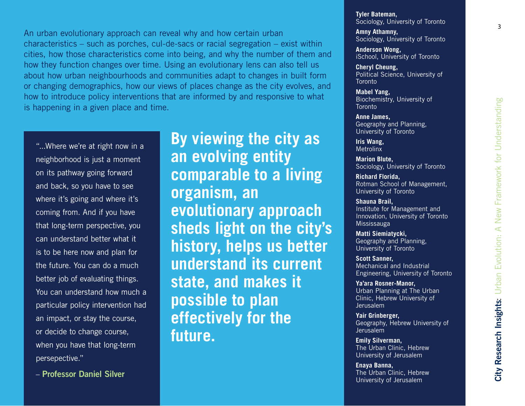An urban evolutionary approach can reveal why and how certain urban characteristics – such as porches, cul-de-sacs or racial segregation – exist within cities, how those characteristics come into being, and why the number of them and how they function changes over time. Using an evolutionary lens can also tell us about how urban neighbourhoods and communities adapt to changes in built form or changing demographics, how our views of places change as the city evolves, and how to introduce policy interventions that are informed by and responsive to what is happening in a given place and time.

"...Where we're at right now in a neighborhood is just a moment on its pathway going forward and back, so you have to see where it's going and where it's coming from. And if you have that long-term perspective, you can understand better what it is to be here now and plan for the future. You can do a much better job of evaluating things. You can understand how much a particular policy intervention had an impact, or stay the course, or decide to change course, when you have that long-term persepective."

– **Professor Daniel Silver**

**By viewing the city as an evolving entity comparable to a living organism, an evolutionary approach sheds light on the city's history, helps us better understand its current state, and makes it possible to plan effectively for the future.**

**Tyler Bateman,**  Sociology, University of Toronto

**Amny Athamny,**  Sociology, University of Toronto

**Anderson Wong,**  iSchool, University of Toronto

**Cheryl Cheung,**  Political Science, University of **Toronto** 

**Mabel Yang,**  Biochemistry, University of Toronto

**Anne James,**  Geography and Planning, University of Toronto

**Iris Wang, Metrolinx** 

**Marion Blute,**  Sociology, University of Toronto

**Richard Florida,**  Rotman School of Management, University of Toronto

**Shauna Brail,**  Institute for Management and Innovation, University of Toronto Mississauga

**Matti Siemiatycki,**  Geography and Planning, University of Toronto

**Scott Sanner,**  Mechanical and Industrial Engineering, University of Toronto

**Ya'ara Rosner-Manor,**  Urban Planning at The Urban Clinic, Hebrew University of Jerusalem

**Yair Grinberger,**  Geography, Hebrew University of Jerusalem

**Emily Silverman,**  The Urban Clinic, Hebrew University of Jerusalem

**Enaya Banna,**  The Urban Clinic, Hebrew University of Jerusalem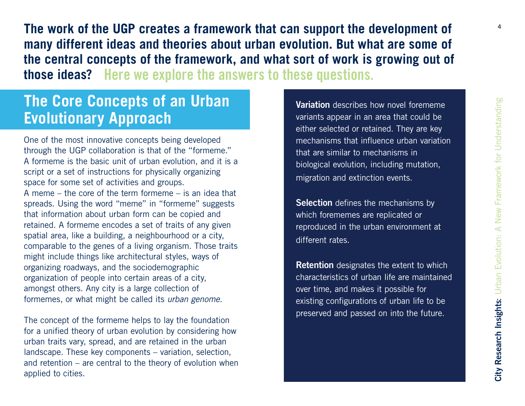**The work of the UGP creates a framework that can support the development of many different ideas and theories about urban evolution. But what are some of the central concepts of the framework, and what sort of work is growing out of those ideas? Here we explore the answers to these questions.**

# **The Core Concepts of an Urban Evolutionary Approach**

One of the most innovative concepts being developed through the UGP collaboration is that of the "formeme." A formeme is the basic unit of urban evolution, and it is a script or a set of instructions for physically organizing space for some set of activities and groups. A meme – the core of the term formeme – is an idea that spreads. Using the word "meme" in "formeme" suggests that information about urban form can be copied and retained. A formeme encodes a set of traits of any given spatial area, like a building, a neighbourhood or a city, comparable to the genes of a living organism. Those traits might include things like architectural styles, ways of organizing roadways, and the sociodemographic organization of people into certain areas of a city, amongst others. Any city is a large collection of formemes, or what might be called its *urban genome.*

The concept of the formeme helps to lay the foundation for a unified theory of urban evolution by considering how urban traits vary, spread, and are retained in the urban landscape. These key components – variation, selection, and retention – are central to the theory of evolution when applied to cities.

**Variation** describes how novel forememe variants appear in an area that could be either selected or retained. They are key mechanisms that influence urban variation that are similar to mechanisms in biological evolution, including mutation, migration and extinction events.

**Selection** defines the mechanisms by which forememes are replicated or reproduced in the urban environment at different rates.

**Retention** designates the extent to which characteristics of urban life are maintained over time, and makes it possible for existing configurations of urban life to be preserved and passed on into the future.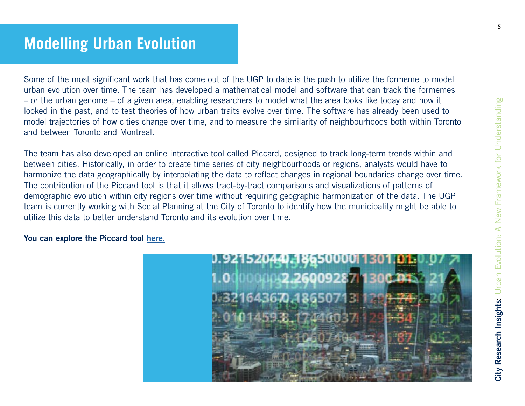# **Modelling Urban Evolution**

Some of the most significant work that has come out of the UGP to date is the push to utilize the formeme to model urban evolution over time. The team has developed a mathematical model and software that can track the formemes – or the urban genome – of a given area, enabling researchers to model what the area looks like today and how it looked in the past, and to test theories of how urban traits evolve over time. The software has already been used to model trajectories of how cities change over time, and to measure the similarity of neighbourhoods both within Toronto and between Toronto and Montreal.

The team has also developed an online interactive tool called Piccard, designed to track long-term trends within and between cities. Historically, in order to create time series of city neighbourhoods or regions, analysts would have to harmonize the data geographically by interpolating the data to reflect changes in regional boundaries change over time. The contribution of the Piccard tool is that it allows tract-by-tract comparisons and visualizations of patterns of demographic evolution within city regions over time without requiring geographic harmonization of the data. The UGP team is currently working with Social Planning at the City of Toronto to identify how the municipality might be able to utilize this data to better understand Toronto and its evolution over time.

#### **You can explore the [Piccard tool here](http://ug.daniels.utoronto.ca/~diasf/Piccard/.).**

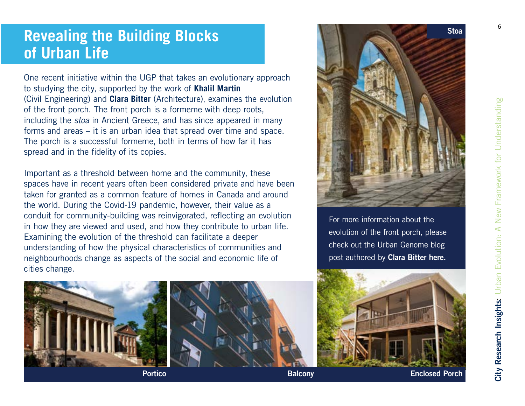# **Revealing the Building Blocks of Urban Life**

One recent initiative within the UGP that takes an evolutionary approach to studying the city, supported by the work of **Khalil Martin** (Civil Engineering) and **Clara Bitter** (Architecture), examines the evolution of the front porch. The front porch is a formeme with deep roots, including the *stoa* in Ancient Greece, and has since appeared in many forms and areas – it is an urban idea that spread over time and space. The porch is a successful formeme, both in terms of how far it has spread and in the fidelity of its copies.

Important as a threshold between home and the community, these spaces have in recent years often been considered private and have been taken for granted as a common feature of homes in Canada and around the world. During the Covid-19 pandemic, however, their value as a conduit for community-building was reinvigorated, reflecting an evolution in how they are viewed and used, and how they contribute to urban life. Examining the evolution of the threshold can facilitate a deeper understanding of how the physical characteristics of communities and neighbourhoods change as aspects of the social and economic life of cities change.



For more information about the evolution of the front porch, please check out the Urban Genome blog post authored by **[Clara Bitter](https://academic.daniels.utoronto.ca/urbangenome/2020/08/11/public-private-thresholds/.) here.**





**Portico Balcony Enclosed Porch**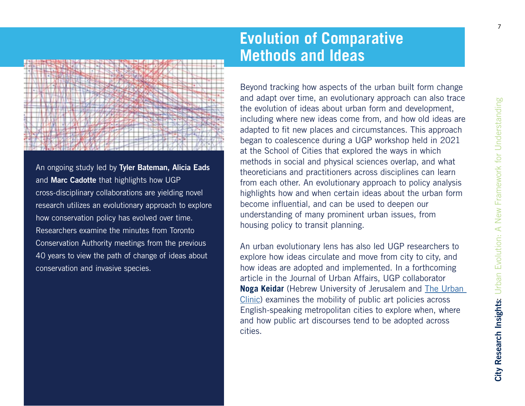

An ongoing study led by **Tyler Bateman, Alicia Eads** and **Marc Cadotte** that highlights how UGP cross-disciplinary collaborations are yielding novel research utilizes an evolutionary approach to explore how conservation policy has evolved over time. Researchers examine the minutes from Toronto Conservation Authority meetings from the previous 40 years to view the path of change of ideas about conservation and invasive species.

# **Evolution of Comparative Methods and Ideas**

Beyond tracking how aspects of the urban built form change and adapt over time, an evolutionary approach can also trace the evolution of ideas about urban form and development, including where new ideas come from, and how old ideas are adapted to fit new places and circumstances. This approach began to coalescence during a UGP workshop held in 2021 at the School of Cities that explored the ways in which methods in social and physical sciences overlap, and what theoreticians and practitioners across disciplines can learn from each other. An evolutionary approach to policy analysis highlights how and when certain ideas about the urban form become influential, and can be used to deepen our understanding of many prominent urban issues, from housing policy to transit planning.

An urban evolutionary lens has also led UGP researchers to explore how ideas circulate and move from city to city, and how ideas are adopted and implemented. In a forthcoming article in the Journal of Urban Affairs, UGP collaborator **Noga Keidar** (Hebrew University of Jerusalem and [The Urban](https://en.urbanclinic.huji.ac.il/)  [Clinic](https://en.urbanclinic.huji.ac.il/)) examines the mobility of public art policies across English-speaking metropolitan cities to explore when, where and how public art discourses tend to be adopted across cities.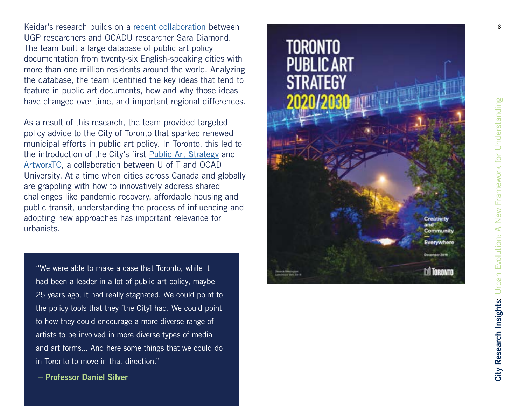Keidar's research builds on a [recent collaboration](https://www2.ocadu.ca/keyword/redefining-public-art) between UGP researchers and OCADU researcher Sara Diamond. The team built a large database of public art policy documentation from twenty-six English-speaking cities with more than one million residents around the world. Analyzing the database, the team identified the key ideas that tend to feature in public art documents, how and why those ideas have changed over time, and important regional differences.

As a result of this research, the team provided targeted policy advice to the City of Toronto that sparked renewed municipal efforts in public art policy. In Toronto, this led to the introduction of the City's first [Public Art Strategy](https://www.toronto.ca/wp-content/uploads/2019/12/92e1-Toronto-Public-Art-Strategy-2020-2030.pdf) and [ArtworxTO,](https://www.artworxto.ca/) a collaboration between U of T and OCAD University. At a time when cities across Canada and globally are grappling with how to innovatively address shared challenges like pandemic recovery, affordable housing and public transit, understanding the process of influencing and adopting new approaches has important relevance for urbanists.

"We were able to make a case that Toronto, while it had been a leader in a lot of public art policy, maybe 25 years ago, it had really stagnated. We could point to the policy tools that they [the City] had. We could point to how they could encourage a more diverse range of artists to be involved in more diverse types of media and art forms... And here some things that we could do in Toronto to move in that direction."

 **– Professor Daniel Silver**

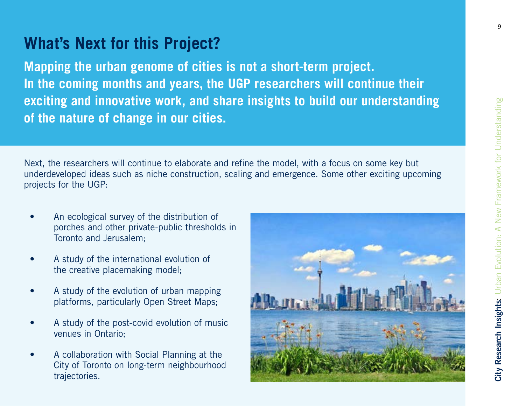# **What's Next for this Project?**

**Mapping the urban genome of cities is not a short-term project. In the coming months and years, the UGP researchers will continue their exciting and innovative work, and share insights to build our understanding of the nature of change in our cities.**

Next, the researchers will continue to elaborate and refine the model, with a focus on some key but underdeveloped ideas such as niche construction, scaling and emergence. Some other exciting upcoming projects for the UGP:

- An ecological survey of the distribution of porches and other private-public thresholds in Toronto and Jerusalem;
- A study of the international evolution of the creative placemaking model;
- A study of the evolution of urban mapping platforms, particularly Open Street Maps;
- A study of the post-covid evolution of music venues in Ontario;
- A collaboration with Social Planning at the City of Toronto on long-term neighbourhood trajectories.

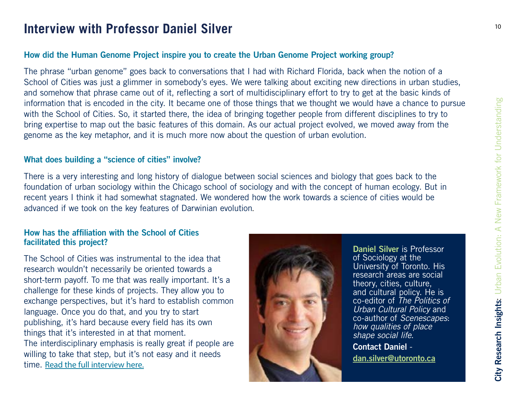## Interview with Professor Daniel Silver **And Accessory 10** 10

### **How did the Human Genome Project inspire you to create the Urban Genome Project working group?**

The phrase "urban genome" goes back to conversations that I had with Richard Florida, back when the notion of a School of Cities was just a glimmer in somebody's eyes. We were talking about exciting new directions in urban studies, and somehow that phrase came out of it, reflecting a sort of multidisciplinary effort to try to get at the basic kinds of information that is encoded in the city. It became one of those things that we thought we would have a chance to pursue with the School of Cities. So, it started there, the idea of bringing together people from different disciplines to try to bring expertise to map out the basic features of this domain. As our actual project evolved, we moved away from the genome as the key metaphor, and it is much more now about the question of urban evolution.

### **What does building a "science of cities" involve?**

There is a very interesting and long history of dialogue between social sciences and biology that goes back to the foundation of urban sociology within the Chicago school of sociology and with the concept of human ecology. But in recent years I think it had somewhat stagnated. We wondered how the work towards a science of cities would be advanced if we took on the key features of Darwinian evolution.

#### **How has the affiliation with the School of Cities facilitated this project?**

The School of Cities was instrumental to the idea that research wouldn't necessarily be oriented towards a short-term payoff. To me that was really important. It's a challenge for these kinds of projects. They allow you to exchange perspectives, but it's hard to establish common language. Once you do that, and you try to start publishing, it's hard because every field has its own things that it's interested in at that moment. The interdisciplinary emphasis is really great if people are willing to take that step, but it's not easy and it needs time. Read the full interview here.



**Daniel Silver** is Professor of Sociology at the University of Toronto. His research areas are social theory, cities, culture, and cultural policy. He is co-editor of *The Politics of Urban Cultural Policy* and co-author of *Scenescapes*: *how qualities of place shape social life*.

**Contact Daniel d[an.silver@utoronto.ca](mailto:Dan.Silver%40utoronto.ca?subject=)**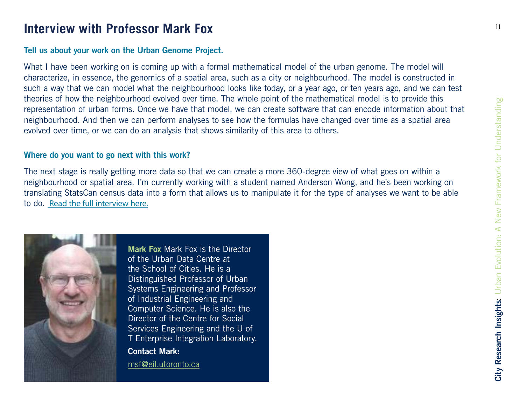# <sup>11</sup> **Interview with Professor Mark Fox**

### **Tell us about your work on the Urban Genome Project.**

What I have been working on is coming up with a formal mathematical model of the urban genome. The model will characterize, in essence, the genomics of a spatial area, such as a city or neighbourhood. The model is constructed in such a way that we can model what the neighbourhood looks like today, or a year ago, or ten years ago, and we can test theories of how the neighbourhood evolved over time. The whole point of the mathematical model is to provide this representation of urban forms. Once we have that model, we can create software that can encode information about that neighbourhood. And then we can perform analyses to see how the formulas have changed over time as a spatial area evolved over time, or we can do an analysis that shows similarity of this area to others.

#### **Where do you want to go next with this work?**

The next stage is really getting more data so that we can create a more 360-degree view of what goes on within a neighbourhood or spatial area. I'm currently working with a student named Anderson Wong, and he's been working on translating StatsCan census data into a form that allows us to manipulate it for the type of analyses we want to be able to do. Read the full interview here.



**Mark Fox** Mark Fox is the Director of the Urban Data Centre at the School of Cities. He is a Distinguished Professor of Urban Systems Engineering and Professor of Industrial Engineering and Computer Science. He is also the Director of the Centre for Social Services Engineering and the U of T Enterprise Integration Laboratory. **Contact Mark:** 

[msf@eil.utoronto.ca](mailto:msf%40eil.utoronto.ca?subject=)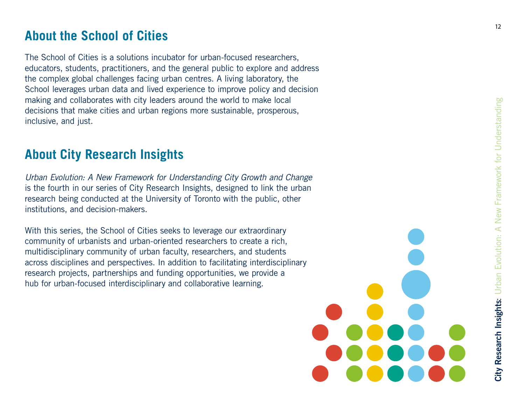## **About the School of Cities**

The School of Cities is a solutions incubator for urban-focused researchers, educators, students, practitioners, and the general public to explore and address the complex global challenges facing urban centres. A living laboratory, the School leverages urban data and lived experience to improve policy and decision making and collaborates with city leaders around the world to make local decisions that make cities and urban regions more sustainable, prosperous, inclusive, and just.

## **About City Research Insights**

*Urban Evolution: A New Framework for Understanding City Growth and Change*  is the fourth in our series of City Research Insights, designed to link the urban research being conducted at the University of Toronto with the public, other institutions, and decision-makers.

With this series, the School of Cities seeks to leverage our extraordinary community of urbanists and urban-oriented researchers to create a rich, multidisciplinary community of urban faculty, researchers, and students across disciplines and perspectives. In addition to facilitating interdisciplinary research projects, partnerships and funding opportunities, we provide a hub for urban-focused interdisciplinary and collaborative learning.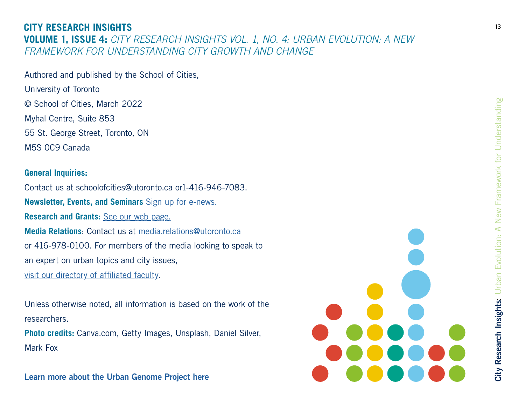### **CITY RESEARCH INSIGHTS VOLUME 1, ISSUE 4:** *CITY RESEARCH INSIGHTS VOL. 1, NO. 4: URBAN EVOLUTION: A NEW FRAMEWORK FOR UNDERSTANDING CITY GROWTH AND CHANGE*

Authored and published by the School of Cities, University of Toronto © School of Cities, March 2022 Myhal Centre, Suite 853 55 St. George Street, Toronto, ON M5S 0C9 Canada

#### **General Inquiries:**

Contact us at schoolofcities@utoronto.ca or1-416-946-7083. **Newsletter, Events, and Seminars** [Sign up for e-news.](https://schoolofcities.us19.list-manage.com/subscribe?u=63f9ed310ffa8729231533667&id=707e088a89)  **Research and Grants:** [See our web page.](https://www.schoolofcities.utoronto.ca/research) **Media Relations**: Contact us at [media.relations@utoronto.ca](mailto:media.relations%40utoronto.ca?subject=) or 416-978-0100. For members of the media looking to speak to an expert on urban topics and city issues, [visit our directory of affiliated faculty](https://www.schoolofcities.utoronto.ca/people/directories/all-faculty).

Unless otherwise noted, all information is based on the work of the researchers.

**Photo credits:** Canva.com, Getty Images, Unsplash, Daniel Silver, Mark Fox